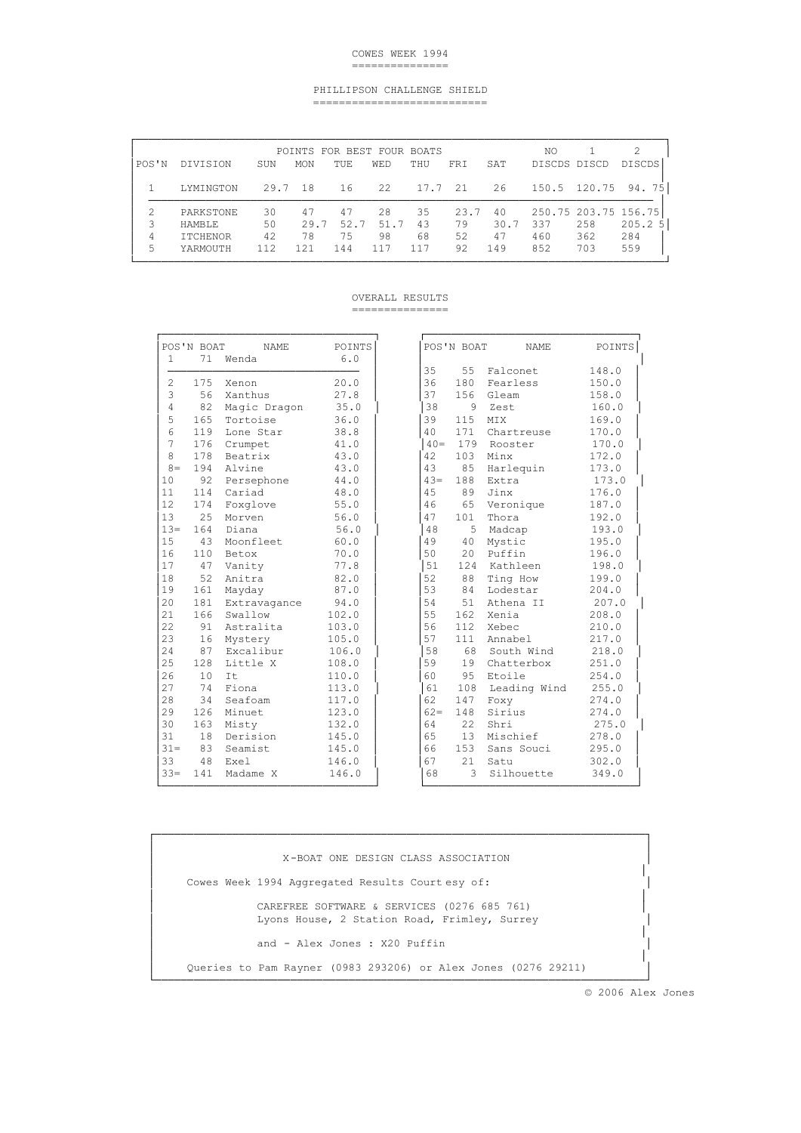### COWES WEEK 1994 ===============

### PHILLIPSON CHALLENGE SHIELD ===========================

| POS'N       | DIVISION                                           | SUN                   | MON                     | POINTS FOR BEST FOUR BOATS<br>TUE | <b>WED</b>               | THU                   | <b>FRT</b>             | SAT                     | NΟ<br>DISCDS DISCD |                                           | 2<br><b>DISCDS</b>        |
|-------------|----------------------------------------------------|-----------------------|-------------------------|-----------------------------------|--------------------------|-----------------------|------------------------|-------------------------|--------------------|-------------------------------------------|---------------------------|
|             | LYMINGTON                                          | 29.7                  | -18                     | 16                                | 22                       | 17.7 21               |                        | 26                      | 150.5              | 120.75                                    | 75<br>94.                 |
| Β<br>4<br>5 | PARKSTONE<br>HAMBLE<br><b>ITCHENOR</b><br>YARMOUTH | 30<br>50<br>42<br>112 | 47<br>29.7<br>78<br>121 | 47<br>52.7<br>75<br>144           | 2.8<br>51.7<br>98<br>117 | 35<br>43<br>68<br>117 | 23.7<br>79<br>52<br>92 | 40<br>30.7<br>47<br>149 | 337<br>460<br>852  | 250.75 203.75 156.75<br>258<br>362<br>703 | 205.2<br>-5<br>284<br>559 |

# OVERALL RESULTS

===============

|                | POS'N BOAT | <b>NAME</b>  | POINTS |        | POS'N BOAT | <b>NAME</b>  | POINTS |
|----------------|------------|--------------|--------|--------|------------|--------------|--------|
| $\mathbf{1}$   | 71         | Wenda        | 6.0    |        |            |              |        |
|                |            |              |        | 35     | 55         | Falconet     | 148.0  |
| $\overline{c}$ | 175        | Xenon        | 20.0   | 36     | 180        | Fearless     | 150.0  |
| 3              | 56         | Xanthus      | 27.8   | 37     | 156        | Gleam        | 158.0  |
| $\overline{4}$ | 82         | Magic Dragon | 35.0   | 38     | 9          | Zest         | 160.0  |
| 5              | 165        | Tortoise     | 36.0   | 39     | 115        | MIX          | 169.0  |
| 6              | 119        | Lone Star    | 38.8   | 40     | 171        | Chartreuse   | 170.0  |
| 7              | 176        | Crumpet      | 41.0   | $40 =$ | 179        | Rooster      | 170.0  |
| 8              | 178        | Beatrix      | 43.0   | 42     | 103        | Minx         | 172.0  |
| $8 =$          | 194        | Alvine       | 43.0   | 43     | 85         | Harlequin    | 173.0  |
| 10             | 92         | Persephone   | 44.0   | $43 =$ | 188        | Extra        | 173.0  |
| 11             | 114        | Cariad       | 48.0   | 45     | 89         | Jinx         | 176.0  |
| 12             | 174        | Foxglove     | 55.0   | 46     | 65         | Veronique    | 187.0  |
| 13             | 25         | Morven       | 56.0   | 47     | 101        | Thora        | 192.0  |
| $13 =$         | 164        | Diana        | 56.0   | 48     | 5          | Madcap       | 193.0  |
| 15             | 43         | Moonfleet    | 60.0   | 49     | 40         | Mystic       | 195.0  |
| 16             | 110        | Betox        | 70.0   | 50     | 20         | Puffin       | 196.0  |
| 17             | 47         | Vanity       | 77.8   | 51     | 124        | Kathleen     | 198.0  |
| 18             | 52         | Anitra       | 82.0   | 52     | 88         | Ting How     | 199.0  |
| 19             | 161        | Mayday       | 87.0   | 53     | 84         | Lodestar     | 204.0  |
| 20             | 181        | Extravagance | 94.0   | 54     | 51         | Athena II    | 207.0  |
| 2.1            | 166        | Swallow      | 102.0  | 55     | 162        | Xenia        | 208.0  |
| 2.2.           | 91         | Astralita    | 103.0  | 56     | 112        | Xebec        | 210.0  |
| 23             | 16         | Mystery      | 105.0  | 57     | 111        | Annabel      | 217.0  |
| 2.4            | 87         | Excalibur    | 106.0  | 58     | 68         | South Wind   | 218.0  |
| 25             | 128        | Little X     | 108.0  | 59     | 19         | Chatterbox   | 251.0  |
| 26             | 10         | Tt.          | 110.0  | 60     | 95         | Etoile       | 254.0  |
| 27             | 74         | Fiona        | 113.0  | 61     | 108        | Leading Wind | 255.0  |
| 28             | 34         | Seafoam      | 117.0  | 62     | 147        | Foxy         | 274.0  |
| 29             | 126        | Minuet       | 123.0  | $62 =$ | 148        | Sirius       | 274.0  |
| 30             | 163        | Misty        | 132.0  | 64     | 22         | Shri         | 275.0  |
| 31             | 18         | Derision     | 145.0  | 65     | 13         | Mischief     | 278.0  |
| $31 =$         | 83         | Seamist      | 145.0  | 66     | 153        | Sans Souci   | 295.0  |
| 33             | 48         | Exel         | 146.0  | 67     | 21         | Satu         | 302.0  |
| $33 =$         | 141        | Madame X     | 146.0  | 68     | 3          | Silhouette   | 349.0  |
|                |            |              |        |        |            |              |        |

|                | POS'N BOAT | <b>NAME</b>  | POINTS |
|----------------|------------|--------------|--------|
| $\mathbf{1}$   | 71         | Wenda        | 6.0    |
|                |            |              |        |
| $\overline{2}$ | 175        | Xenon        | 20.0   |
| 3              | 56         | Xanthus      | 27.8   |
| $\overline{4}$ | 82         | Magic Dragon | 35.0   |
| 5              | 165        | Tortoise     | 36.0   |
| 6              | 119        | Lone Star    | 38.8   |
| 7              | 176        | Crumpet      | 41.0   |
| 8              | 178        | Beatrix      | 43.0   |
| $8 =$          | 194        | Alvine       | 43.0   |
| 10             | 92         | Persephone   | 44.0   |
| 11             | 114        | Cariad       | 48.0   |
| 12             | 174        | Foxglove     | 55.0   |
| 13             | 25         | Morven       | 56.0   |
| $13 =$         | 164        | Diana        | 56.0   |
| 15             | 43         | Moonfleet    | 60.0   |
| 16             | 110        | Betox        | 70.0   |
| 17             | 47         | Vanity       | 77.8   |
| 18             | 52         | Anitra       | 82.0   |
| 19             | 161        | Mayday       | 87.0   |
| 20             | 181        | Extravagance | 94.0   |
| 21             | 166        | Swallow      | 102.0  |
| 22             | 91         | Astralita    | 103.0  |
| 23             | 16         | Mystery      | 105.0  |
| 24             | 87         | Excalibur    | 106.0  |
| 25             | 128        | Little X     | 108.0  |
| 26             | 10         | It           | 110.0  |
| 27             | 74         | Fiona        | 113.0  |
| 28             | 34         | Seafoam      | 117.0  |
| 29             | 126        | Minuet       | 123.0  |
| 30             | 163        | Misty        | 132.0  |
| 31             | 18         | Derision     | 145.0  |
| $31 =$         | 83         | Seamist      | 145.0  |
| 33             | 48         | Exel         | 146.0  |
| $33 =$         | 141        | Madame X     | 146.0  |

│ │ │ X-BOAT ONE DESIGN CLASS ASSOCIATION │ │ │ Cowes Week 1994 Aggregated Results Court esy of: │ │ │ CAREFREE SOFTWARE & SERVICES (0276 685 761) │ *Lyons House, 2 Station Road, Frimley, Surrey* │ │ and - Alex Jones : X20 Puffin │ │ │ Queries to Pam Rayner (0983 293206) or Alex Jones (0276 29211) │ │ └────────────────────────────────────────────────────────────────────────────┘

┌────────────────────────────────────────────────────────────────────────────┐

© 2006 Alex Jones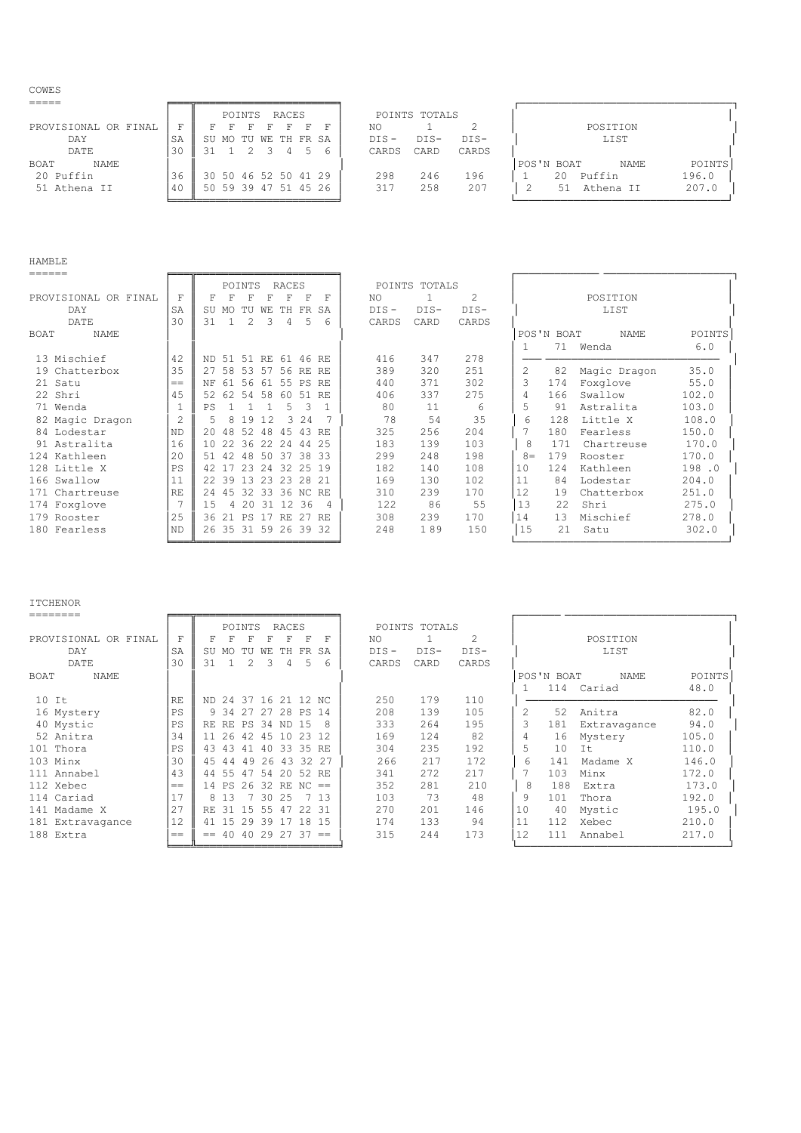COWES

|                      |    | RACES<br>POINTS      | POINTS TOTALS             |                                     |
|----------------------|----|----------------------|---------------------------|-------------------------------------|
| PROVISIONAL OR FINAL | ᢑ  |                      | NO.                       | POSITION                            |
| DAY                  |    | SU MO TU WE TH FR SA | $DTS -$<br>$DTS-$<br>DTS- | LIST                                |
| DATE                 | 30 |                      | CARD<br>CARDS<br>CARDS    |                                     |
| NAME<br>BOAT         |    |                      |                           | POINTS<br>POS'N BOAT<br><b>NAME</b> |
| 20 Puffin            | 36 | 30 50 46 52 50 41 29 | 298<br>246<br>196         | 196.0<br>Puffin<br>20               |
| 51 Athena II         | 40 | 50 59 39 47 51 45 26 | 258<br>207<br>317         | 207.0<br>Athena II<br>.51           |

╘═══╩══════════════════════╛ └─────────────────────────────────┘

## HAMBLE

| ======               |                |                  |          |                |     |          |           |           |         |               |        |       |            |              |        |
|----------------------|----------------|------------------|----------|----------------|-----|----------|-----------|-----------|---------|---------------|--------|-------|------------|--------------|--------|
|                      |                |                  | POINTS   |                |     | RACES    |           |           |         | POINTS TOTALS |        |       |            |              |        |
| PROVISIONAL OR FINAL | F              | F                |          |                |     |          |           |           | NO.     |               | 2      |       |            | POSITION     |        |
| <b>DAY</b>           | SA             | SU               | MΩ       |                | WF. | TН       | <b>FR</b> | SA        | $DIS -$ | $DIS-$        | $DIS-$ |       |            | LIST         |        |
| DATE                 | 30             | 31               |          | 2              | Β   | 4        | .5        | 6         | CARDS   | CARD          | CARDS  |       |            |              |        |
| NAME<br>BOAT         |                |                  |          |                |     |          |           |           |         |               |        |       | POS'N BOAT | <b>NAME</b>  | POINTS |
|                      |                |                  |          |                |     |          |           |           |         |               |        |       | 71         | Wenda        | 6.0    |
| 13 Mischief          | 42             | ND.              | 51 51 RE |                |     | 61 46 RE |           |           | 416     | 347           | 278    |       |            |              |        |
| 19 Chatterbox        | 35             | 27               | 58       | 53             | .57 | 56       | RE.       | RE.       | 389     | 320           | 251    | 2     | 82         | Magic Dragon | 35.0   |
| 21 Satu              | $==$           | NF               | 61       | 56             | 61  | 55       | PS        | RE.       | 440     | 371           | 302    | 3     | 174        | Foxglove     | 55.0   |
| 22 Shri              | 4.5            | 52               | 62 54 58 |                |     | 60       | -51       | <b>RE</b> | 406     | 337           | 275    | 4     | 166        | Swallow      | 102.0  |
| 71 Wenda             |                | PS               |          |                |     | 5        | 3         |           | 80      | 11            | 6      | 5     | 91         | Astralita    | 103.0  |
| 82 Magic Dragon      | $\overline{2}$ | 5                | 8        | 19             | 12  | २        | 2.4       |           | 78      | 54            | 35     | 6     | 128        | Little X     | 108.0  |
| 84 Lodestar          | ND.            | 20               | 48       | 52             | -48 | 45       | 43        | RF.       | 325     | 256           | 204    |       | 180        | Fearless     | 150.0  |
| 91 Astralita         | 16             | 1 O              | 22       | 36             | -22 | 24       | 44        | 25        | 183     | 139           | 103    | 8     | 171        | Chartreuse   | 170.0  |
| 124 Kathleen         | 20             | 51               | 42       | 48             | 50  | 37       | 38        | -33       | 299     | 248           | 198    | $8 =$ | 179        | Rooster      | 170.0  |
| 128 Little X         | <b>PS</b>      | 42               |          | 23             | 2.4 | 32       | 25        | 19        | 182     | 140           | 108    | 10    | 124        | Kathleen     | 198.0  |
| 166 Swallow          | 11             | 2.2 <sub>1</sub> | 39       | 13             | 23  | 23       | 2.8       | 21        | 169     | 130           | 102    | 11    | 84         | Lodestar     | 204.0  |
| 171<br>Chartreuse    | RE             | 2.4              | 45       | 32             | 33  | 36 NC    |           | -RE       | 310     | 239           | 170    | 12    | 19         | Chatterbox   | 251.0  |
| 174 Foxglove         |                | 1.5              | 4        | 2.0            | 31  | 12       | 36        | -4        | 122     | 86            | 55     | 13    | 22         | Shri         | 275.0  |
| 179 Rooster          | 25             | 36               | 21       | <b>PS</b>      | 17  | RF.      | 27        | RF.       | 308     | 239           | 170    | 14    | 13         | Mischief     | 278.0  |
| 180 Fearless         | <b>ND</b>      | 26               | 35       | 31 59 26 39 32 |     |          |           |           | 248     | 189           | 150    | 15    | 21         | Satu         | 302.0  |
|                      |                |                  |          |                |     |          |           |           |         |               |        |       |            |              |        |

# ITCHENOR<br>========

|                      |      |     | POINTS                |       |                  | <b>RACES</b> |      |     |         | POINTS TOTALS |        |        |    |            |              |        |  |  |  |
|----------------------|------|-----|-----------------------|-------|------------------|--------------|------|-----|---------|---------------|--------|--------|----|------------|--------------|--------|--|--|--|
| PROVISIONAL OR FINAL | F    |     |                       |       |                  |              | F    | F   | NO      |               |        | 2      |    |            | POSITION     |        |  |  |  |
| DAY                  | SA   | SU  | MO                    | TU.   | WF.              | TН           | FR   | SA  | $DIS -$ |               | $DIS-$ | $DIS-$ |    |            | LIST         |        |  |  |  |
| DATE                 | 30   | 31  |                       | 2     | 3                |              | 5    | 6   | CARDS   |               | CARD   | CARDS  |    |            |              |        |  |  |  |
| NAME<br>BOAT         |      |     |                       |       |                  |              |      |     |         |               |        |        |    | POS'N BOAT | NAME         | POINTS |  |  |  |
|                      |      |     |                       |       |                  |              |      |     |         |               |        |        |    | 114        | Cariad       | 48.0   |  |  |  |
| $10$ It              | RF.  |     | ND 24 37 16 21 12 NC  |       |                  |              |      |     | 250     |               | 179    | 110    |    |            |              |        |  |  |  |
| 16 Mystery           | PS   |     | 9 34 27               |       | 27               | 28 PS        |      | -14 | 208     |               | 139    | 105    | 2  | 52         | Anitra       | 82.0   |  |  |  |
| 40 Mystic            | PS   | RE. | RE                    |       | PS 34 ND         |              | -1.5 |     | 333     |               | 264    | 195    | 3  | 181        | Extravagance | 94.0   |  |  |  |
| 52 Anitra            | 34   | 11  | 26                    | 42    | 45               | 10           | 23   |     | 169     |               | 124    | 82     | 4  | 16         | Mystery      | 105.0  |  |  |  |
| Thora<br>101         | PS   | 43  | 43                    | 41    | 40               | 33 35        |      | RF. | 304     |               | 235    | 192    | 5  | 10         | Tt.          | 110.0  |  |  |  |
| 103 Minx             | 30   | 4.5 | 44                    | 49    | 26               | 43           | 32   | -27 | 266     |               | 217    | 172    | 6  | 141        | Madame X     | 146.0  |  |  |  |
| 111<br>Annabel       | 43   | 44  | 55                    | 47    | 54               | 20 52        |      | RF. | 341     |               | 272    | 217    |    | 103        | Minx         | 172.0  |  |  |  |
| 112 Xebec            | $==$ |     | 14 P.S.               |       | $26$ 32 RE NC == |              |      |     | 352     |               | 281    | 210    | 8  | 188        | Extra        | 173.0  |  |  |  |
| 114 Cariad           | 17   | 8   | 13                    |       | 30               | 25           |      | 13  | 103     |               | 73     | 48     | 9  | 101        | Thora        | 192.0  |  |  |  |
| 141 Madame X         | 27   | RE. | 31                    | 15    | 55               | 47           | 22   | -31 | 270     |               | 201    | 146    | 10 | 40         | Mystic       | 195.0  |  |  |  |
| 181 Extravagance     | 12   | 41  | 15                    | 29 39 |                  | 17           | 18   | -15 | 174     |               | 133    | 94     | 11 | 112        | Xebec        | 210.0  |  |  |  |
| 188 Extra            | $==$ | $=$ | $40$ $40$ 29 27 37 == |       |                  |              |      |     | 315     |               | 244    | 173    | 12 | 111        | Annabel      | 217.0  |  |  |  |
|                      |      |     |                       |       |                  |              |      |     |         |               |        |        |    |            |              |        |  |  |  |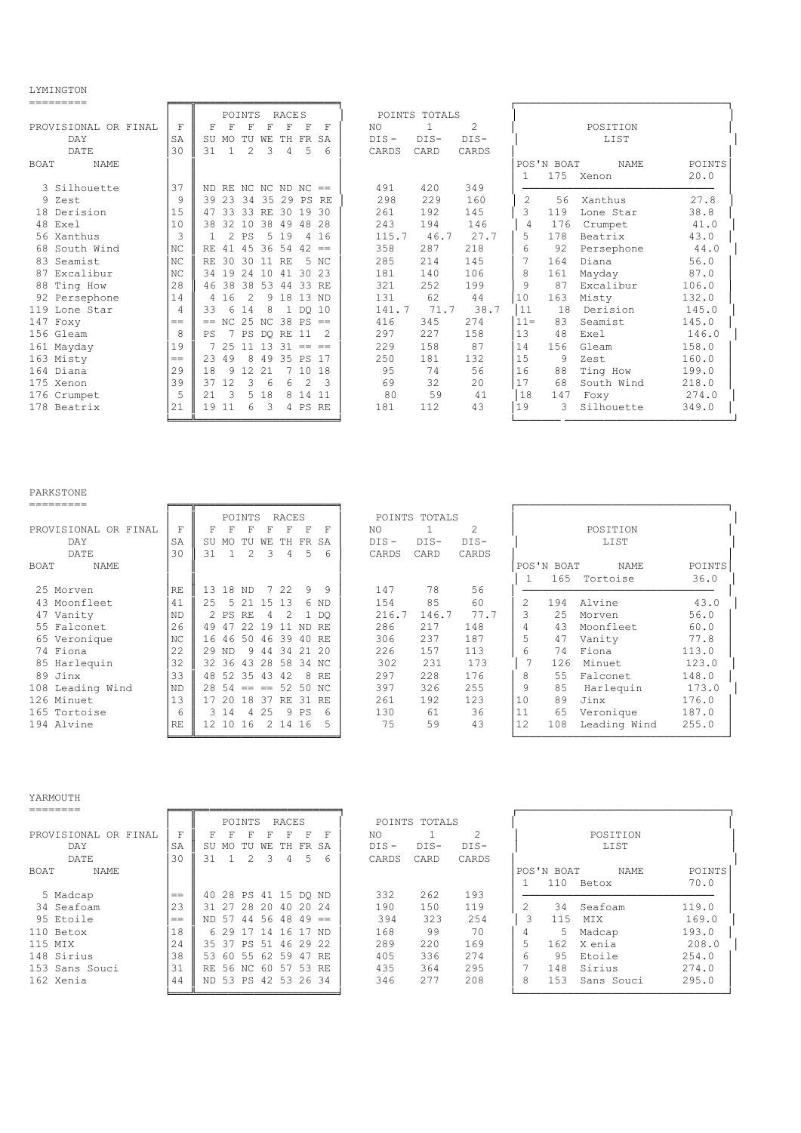LYMINGTON

| ---------            |     |                                                                         |                             |                                     |
|----------------------|-----|-------------------------------------------------------------------------|-----------------------------|-------------------------------------|
|                      |     | <b>RACES</b><br>POINTS                                                  | POINTS TOTALS               |                                     |
| PROVISIONAL OR FINAL | F   | F<br>F<br>F<br>F<br>F<br>F<br>F                                         | $\mathfrak{D}$<br>NO<br>1   | POSITION                            |
| DAY                  | SA  | TU<br>TH FR<br>SA<br>SU MO<br>WE                                        | $DIS-$<br>$DIS-$<br>$DIS -$ | LIST                                |
| DATE                 | 30  | $\mathcal{D}_{\mathcal{L}}$<br>3<br>5<br>31<br>$\overline{4}$<br>1<br>6 | CARD<br>CARDS<br>CARDS      |                                     |
| <b>NAME</b><br>BOAT  |     |                                                                         |                             | POS'N BOAT<br><b>NAME</b><br>POINTS |
|                      |     |                                                                         |                             | 175<br>20.0<br>Xenon<br>-1.         |
| 3 Silhouette         | 37  | ND RE NC NC ND NC $==$                                                  | 491<br>420<br>349           |                                     |
| 9 Zest               | 9   | 39 23<br>-34<br>35 29 PS<br><b>RE</b>                                   | 298<br>229<br>160           | 2<br>27.8<br>56<br>Xanthus          |
| 18 Derision          | 1.5 | 33<br>33 RE<br>30 19<br>30<br>47                                        | 261<br>192<br>145           | 3<br>38.8<br>119<br>Lone Star       |
| 48 Exel              | 10  | 38<br>32<br>10<br>38 49<br>48<br>2.8                                    | 243<br>194<br>146           | 176<br>41.0<br>4<br>Crumpet         |
| 56 Xanthus           | 3   | $\mathcal{D}_{\mathcal{L}}$<br>.5<br>19<br>16<br>PS<br>$\overline{4}$   | 27.7<br>115.7<br>46.7       | 5<br>178<br>43.0<br>Beatrix         |
| South Wind<br>68     | NC  | 4.5<br>36 54<br>42<br>RE.<br>41<br>$=$                                  | 287<br>358<br>218           | 6<br>92<br>44.0<br>Persephone       |
| 83 Seamist           | NC  | 30<br>-30<br>5<br>RF.<br><b>RE</b><br>NC<br>11                          | 285<br>214<br>145           | 7<br>164<br>Diana<br>56.0           |
| Excalibur<br>87      | NC  | 19<br>2.4<br>30<br>23<br>34<br>10<br>41                                 | 106<br>181<br>140           | 8<br>87.0<br>161<br>Mayday          |
| 88 Ting How          | 28  | 38<br>38<br>-53<br>33<br>46<br>-44<br>RE                                | 321<br>252<br>199           | 9<br>87<br>106.0<br>Excalibur       |
| 92 Persephone        | 14  | 16<br>18<br>13<br>2<br>9<br>ND<br>4                                     | 131<br>62<br>44             | 10<br>163<br>Misty<br>132.0         |
| 119<br>Lone Star     | 4   | 33<br>6<br>8<br>14<br>1 DO 10                                           | 141.7<br>38.7<br>71.7       | 11<br>18<br>Derision<br>145.0       |
| 147 Foxy             | $=$ | NC 25 NC 38 PS<br>$=$<br>$=$                                            | 416<br>345<br>274           | $11 =$<br>145.0<br>83<br>Seamist    |
| 156 Gleam            | 8   | 7<br>PS<br>11<br>DO RE<br>PS                                            | 227<br>297<br>158           | 13<br>48<br>146.0<br>Exel           |
| 161 Mayday           | 19  | 2.5<br>13<br>31<br>11<br>$==$<br>$=$                                    | 158<br>87<br>229            | 14<br>156<br>158.0<br>Gleam         |
| 163 Misty            | $=$ | 23<br>49<br>8<br>35 PS<br>49<br>-17                                     | 181<br>250<br>132           | 15<br>9<br>160.0<br>Zest            |
| 164 Diana            | 29  | 18<br>9<br>12<br>2.1<br>10<br>18                                        | 74<br>56<br>95              | 16<br>88<br>199.0<br>Ting How       |
| 175 Xenon            | 39  | 37<br>12<br>3<br>2<br>6<br>6<br>3                                       | 69<br>32<br>2.0             | 17<br>68<br>South Wind<br>218.0     |
| 176 Crumpet          | 5   | 2.1<br>3<br>5<br>18<br>8<br>-14<br>11                                   | 59<br>80<br>41              | 18<br>147<br>274.0<br>Foxy          |
| 178 Beatrix          | 21  | 19<br>11<br>6<br>3<br>4 PS<br>RE                                        | 181<br>112<br>43            | 19<br>349.0<br>3<br>Silhouette      |
|                      |     |                                                                         |                             |                                     |

### PARKSTONE

|                      |                |                 | POINTS   |           |     | <b>RACES</b> |      |           |     |         | POINTS TOTALS |        |    |            |              |        |  |  |  |
|----------------------|----------------|-----------------|----------|-----------|-----|--------------|------|-----------|-----|---------|---------------|--------|----|------------|--------------|--------|--|--|--|
| PROVISIONAL OR FINAL | F              |                 |          |           |     |              | F    | F         | NO. |         |               | 2      |    |            | POSITION     |        |  |  |  |
| <b>DAY</b>           | SA             | SU              | MO.      | TU        | WF. | TН           | FR   | <b>SA</b> |     | $DIS -$ | $DIS-$        | $DIS-$ |    |            | LIST         |        |  |  |  |
| DATE                 | 30             | 31              |          | 2         | ٦   | 4            | 5    | 6         |     | CARDS   | CARD          | CARDS  |    |            |              |        |  |  |  |
| BOAT<br>NAME         |                |                 |          |           |     |              |      |           |     |         |               |        |    | POS'N BOAT | NAME         | POINTS |  |  |  |
|                      |                |                 |          |           |     |              |      |           |     |         |               |        |    | 165        | Tortoise     | 36.0   |  |  |  |
| 25 Morven            | RF.            |                 | 13 18    | ND.       | 7   | 22           | 9    | 9         |     | 147     | 78            | 56     |    |            |              |        |  |  |  |
| 43 Moonfleet         | 41             | 2.5             | 5.       | 2.1       | 1.5 | 13           | 6    | <b>ND</b> |     | 154     | 85            | 60     | 2  | 194        | Alvine       | 43.0   |  |  |  |
| 47 Vanity            | <b>ND</b>      |                 | 2 PS     | RE        |     | 2            |      | DO        |     | 216.7   | 146.7         | 77.7   | 3  | 2.5        | Morven       | 56.0   |  |  |  |
| 55 Falconet          | 26             | 49              | 47       | 22        | 19  |              | ND.  | RE.       |     | 286     | 217           | 148    | 4  | 43         | Moonfleet    | 60.0   |  |  |  |
| 65 Veronique         | N <sub>C</sub> | 16              | 46       | 50        | 46  | 39           | 40   | RE.       |     | 306     | 237           | 187    | 5  | 47         | Vanity       | 77.8   |  |  |  |
| 74 Fiona             | 22             | 29              | -ND      | 9         | 44  | 34           | 21   | 20        |     | 226     | 157           | 113    | 6  | 74         | Fiona        | 113.0  |  |  |  |
| 85 Harlequin         | 32             | 32 <sub>1</sub> | 36       | 43        | 2.8 | 58           | 34   | -NC       |     | 302     | 231           | 173    |    | 126        | Minuet       | 123.0  |  |  |  |
| 89 Jinx              | 33             | 48              | 52       | 35        | 43  | 42           | 8    | RE.       |     | 297     | 228           | 176    | 8  | 55         | Falconet     | 148.0  |  |  |  |
| 108 Leading Wind     | <b>ND</b>      | 28              | 54       | $= - - -$ |     | 52 50        |      | - NC      |     | 397     | 326           | 255    | 9  | 85         | Harlequin    | 173.0  |  |  |  |
| 126 Minuet           | 13             |                 | 20       | 18        | -37 | RE           | 31   | RE.       |     | 261     | 192           | 123    | 10 | 89         | Jinx         | 176.0  |  |  |  |
| 165 Tortoise         | 6              |                 | 3 14     | 4         | 25  |              | 9 PS | 6         |     | 130     | 61            | 36     | 11 | 65         | Veronique    | 187.0  |  |  |  |
| 194 Alvine           | RE             |                 | 12 10 16 |           | 2   | 14           | 16   |           |     | 75      | 59            | 43     | 12 | 108        | Leading Wind | 255.0  |  |  |  |
|                      |                |                 |          |           |     |              |      |           |     |         |               |        |    |            |              |        |  |  |  |

### YARMOUTH

|                      |     |                      | POINTS               |             |    | RACES    |     |      |         | POINTS TOTALS |        |   |            |            |        |  |  |  |
|----------------------|-----|----------------------|----------------------|-------------|----|----------|-----|------|---------|---------------|--------|---|------------|------------|--------|--|--|--|
| PROVISIONAL OR FINAL | F   |                      |                      |             |    |          | F   | F    | NO.     |               | 2      |   |            | POSITION   |        |  |  |  |
| DAY                  | SA  | SU                   | MO.                  | TU          | WE | TH FR SA |     |      | $DIS -$ | DIS-          | $DIS-$ |   | LIST       |            |        |  |  |  |
| <b>DATE</b>          | 30  | 31                   |                      |             |    | 4        | 5   | 6    | CARDS   | CARD          | CARDS  |   |            |            |        |  |  |  |
| <b>NAME</b><br>BOAT  |     |                      |                      |             |    |          |     |      |         |               |        |   | POS'N BOAT | NAME       | POINTS |  |  |  |
|                      |     |                      |                      |             |    |          |     |      |         |               |        |   | 110        | Betox      | 70.0   |  |  |  |
| 5 Madcap             | $=$ | 40                   | 28 PS 41 15 DO ND    |             |    |          |     |      | 332     | 262           | 193    |   |            |            |        |  |  |  |
| 34 Seafoam           | 23  | 31 27                |                      | 28 20 40 20 |    |          |     | - 24 | 190     | 150           | 119    | 2 | 34         | Seafoam    | 119.0  |  |  |  |
| 95 Etoile            | $=$ |                      | ND 57 44 56 48 49 == |             |    |          |     |      | 394     | 323           | 254    | २ | 115        | MIX        | 169.0  |  |  |  |
| 110 Betox            | 18  |                      | 62917141617ND        |             |    |          |     |      | 168     | 99            | 70     | 4 | 5          | Madcap     | 193.0  |  |  |  |
| 115 MIX              | 24  |                      | 35 37 PS 51 46 29 22 |             |    |          |     |      | 289     | 220           | 169    | 5 | 162        | X enia     | 208.0  |  |  |  |
| 148 Sirius           | 38  |                      | 53 60 55 62 59       |             |    |          | -47 | RE.  | 405     | 336           | 274    | 6 | 95         | Etoile     | 254.0  |  |  |  |
| 153 Sans Souci       | 31  | RE 56 NC 60 57 53 RE |                      |             |    |          |     |      | 435     | 364           | 295    |   | 148        | Sirius     | 274.0  |  |  |  |
| 162 Xenia            | 44  | ND 53 PS 42 53 26 34 |                      |             |    |          |     |      | 346     | 277           | 208    | 8 | 153        | Sans Souci | 295.0  |  |  |  |
|                      |     |                      |                      |             |    |          |     |      |         |               |        |   |            |            |        |  |  |  |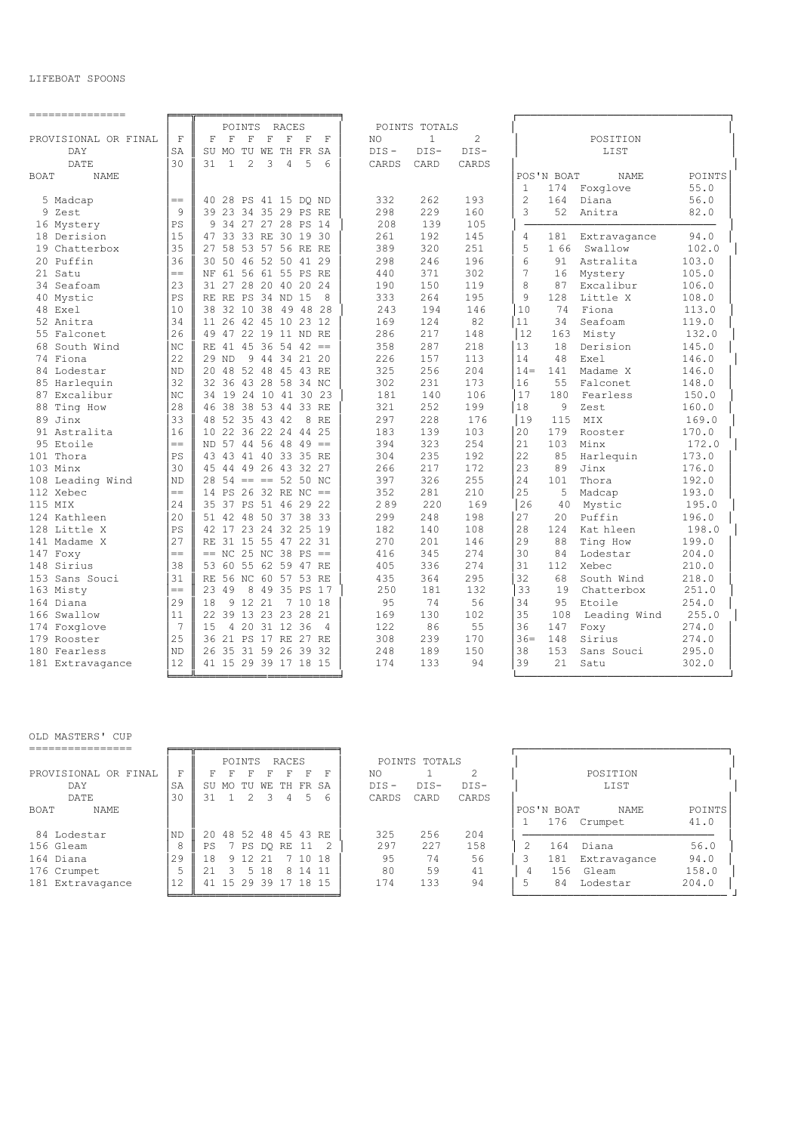### LIFEBOAT SPOONS

| ---------------              |                  |                                                                   |                                      |                                                                |
|------------------------------|------------------|-------------------------------------------------------------------|--------------------------------------|----------------------------------------------------------------|
|                              |                  | POINTS<br>RACES                                                   | POINTS TOTALS                        |                                                                |
| PROVISIONAL OR FINAL         | $\mathbf{F}$     | F<br>F<br>F<br>$\mathbf F$<br>$\mathbf F$<br>F<br>$_{\rm F}$      | $\overline{c}$<br>$\mathbf{1}$<br>NO | POSITION                                                       |
| DAY                          | SA               | SU MO<br>TU WE TH FR<br>SA                                        | $DIS -$<br>$DIS-$<br>$DIS-$          | LIST                                                           |
| DATE                         | 30               | 31<br>$\mathbf{1}$<br>$\overline{c}$<br>3<br>5<br>4<br>$\epsilon$ | CARDS<br>CARD<br>CARDS               |                                                                |
| <b>BOAT</b><br><b>NAME</b>   |                  |                                                                   |                                      | <b>POINTS</b><br>POS'N BOAT<br><b>NAME</b>                     |
|                              |                  |                                                                   |                                      | 174<br>Foxglove<br>55.0<br>$\mathbf{1}$                        |
| 5 Madcap                     | $=$              | 40 28 PS 41 15 DQ ND                                              | 262<br>332<br>193                    | $\overline{c}$<br>164<br>56.0<br>Diana                         |
| 9 Zest                       | 9                | 39 23 34 35 29 PS RE                                              | 229<br>298<br>160                    | 52<br>3<br>Anitra<br>82.0                                      |
| 16 Mystery                   | PS               | 34 27 27 28 PS 14<br>9                                            | 208<br>139<br>105                    |                                                                |
| 18 Derision                  | 15               | 47 33 33 RE 30 19 30                                              | 261<br>192<br>145                    | 94.0<br>4<br>181<br>Extravagance                               |
| 19 Chatterbox                | 35               | 27 58 53 57 56 RE RE                                              | 389<br>320<br>251                    | 5<br>1 66<br>Swallow<br>102.0                                  |
| 20 Puffin                    | 36               | 30 50 46 52 50 41 29                                              | 298<br>246<br>196                    | 6<br>91<br>Astralita<br>103.0                                  |
| 21 Satu                      | $=$              | NF 61 56 61 55 PS RE                                              | 440<br>371<br>302                    | 7<br>Mystery<br>105.0<br>16                                    |
| 34 Seafoam                   | 23               | 28 20 40 20<br>31 27<br>24                                        | 150<br>119<br>190                    | 8<br>87<br>Excalibur<br>106.0                                  |
| 40 Mystic                    | PS               | RE RE PS 34 ND 15<br>8                                            | 264<br>333<br>195                    | 9<br>128<br>Little X<br>108.0                                  |
| 48 Exel                      | 10               | 38 32 10 38 49 48 28                                              | 194<br>146<br>243                    | 10<br>74<br>Fiona<br>113.0                                     |
| 52 Anitra                    | 34               | 11 26 42 45 10 23 12                                              | 124<br>82<br>169                     | 34<br>Seafoam<br>119.0<br>11                                   |
| 55 Falconet                  | 26               | 49 47 22 19 11 ND RE                                              | 217<br>286<br>148                    | 12<br>Misty<br>163<br>132.0                                    |
| 68 South Wind                | NC               | RE 41 45 36 54 42<br>$\!=\!=$                                     | 358<br>287<br>218                    | 13<br>18<br>Derision<br>145.0                                  |
| 74 Fiona                     | 22               | $29$ ND<br>9 44 34 21 20                                          | 226<br>157<br>113                    | 14<br>48<br>Exel<br>146.0                                      |
| 84 Lodestar                  | <b>ND</b>        | 20 48 52 48 45 43 RE                                              | 325<br>256<br>204                    | 141<br>Madame X<br>$14 =$<br>146.0                             |
| 85 Harlequin                 | 32               | 32 36 43 28 58 34 NC                                              | 302<br>231<br>173                    | 16<br>55<br>Falconet<br>148.0                                  |
| 87 Excalibur                 | $_{\mathrm{NC}}$ | 34 19 24 10 41 30 23                                              | 106<br>181<br>140                    | 17<br>180<br>Fearless<br>150.0                                 |
| Ting How<br>88               | 28               | 46 38 38 53 44 33 RE                                              | 252<br>199<br>321                    | 18<br>9<br>Zest<br>160.0                                       |
| 89 Jinx                      | 33               | 48 52 35 43 42<br>8 RE                                            | 297<br>228<br>176                    | 19<br>115<br>MIX<br>169.0                                      |
| 91 Astralita                 | 16               | 10 22 36 22 24 44 25                                              | 139<br>103<br>183                    | 179<br>20<br>170.0<br>Rooster                                  |
| 95 Etoile                    | $=$              | ND 57 44 56 48 49<br>$=$ $=$                                      | 323<br>394<br>254                    | 21<br>103<br>172.0<br>Minx                                     |
| 101 Thora                    | PS               | 43 43 41 40 33 35 RE                                              | 235<br>192<br>304                    | 22<br>85<br>Harlequin<br>173.0                                 |
| 103 Minx                     | 30               | 45 44 49 26 43 32 27                                              | 217<br>266<br>172                    | 23<br>89<br>Jinx<br>176.0                                      |
| 108 Leading Wind             | <b>ND</b>        | $28$ 54 == == 52 50 NC                                            | 397<br>326<br>255                    | 24<br>101<br>Thora<br>192.0                                    |
| 112 Xebec                    | $=$              | 14 PS 26 32 RE NC<br>$=$                                          | 352<br>281<br>210                    | 25<br>5<br>Madcap<br>193.0                                     |
| 115 MIX                      | 24<br>20         | 35 37 PS 51 46 29 22                                              | 289<br>220<br>169<br>248             | 26<br>40<br>Mystic<br>195.0<br>2.0                             |
| 124 Kathleen                 | PS               | 51 42 48 50 37 38 33<br>42 17 23 24 32 25 19                      | 299<br>198<br>182<br>140<br>108      | 27<br>Puffin<br>196.0<br>28<br>198.0<br>124<br>Kat hleen       |
| 128 Little X                 | 27               | RE 31 15 55 47 22 31                                              | 270<br>201<br>146                    | 29<br>88<br>199.0                                              |
| 141 Madame X                 | $=$              | $== NC$ 25 NC 38 PS<br>$=$                                        | 416<br>345<br>274                    | Ting How<br>30<br>Lodestar<br>204.0<br>84                      |
| 147 Foxy                     |                  |                                                                   | 274                                  |                                                                |
| 148 Sirius<br>153 Sans Souci | 38<br>31         | 55 62 59 47 RE<br>53 60<br>RE 56 NC 60 57 53 RE                   | 336<br>405<br>295<br>435<br>364      | 31<br>112<br>Xebec<br>210.0<br>32<br>68<br>South Wind<br>218.0 |
|                              | $=$              | 23 49<br>49 35 PS<br>8<br>17                                      | 250<br>181<br>132                    | 33<br>19<br>251.0<br>Chatterbox                                |
| 163 Misty<br>164 Diana       | 29               | 9 12 21<br>7 10 18<br>18                                          | 9.5<br>74<br>56                      | 34<br>95<br>Etoile<br>254.0                                    |
| 166 Swallow                  | 11               | 22 39 13 23 23 28 21                                              | 169<br>130<br>102                    | 35<br>255.0<br>108                                             |
| 174 Foxglove                 | 7                | 20 31 12 36<br>15<br>$\overline{4}$<br>4                          | 86<br>122<br>55                      | Leading Wind<br>36<br>147<br>274.0<br>Foxy                     |
| 179 Rooster                  | 25               | 36 21 PS 17 RE 27 RE                                              | 308<br>239<br>170                    | $36=$<br>148<br>Sirius<br>274.0                                |
| 180 Fearless                 | ND               | 31 59 26 39<br>26 35<br>- 32                                      | 189<br>248<br>150                    | 38<br>153<br>295.0<br>Sans Souci                               |
| 181 Extravagance             | 12               | 41 15 29 39 17 18 15                                              | 174<br>133<br>94                     | 39<br>21<br>Satu<br>302.0                                      |
|                              |                  |                                                                   |                                      |                                                                |
|                              |                  |                                                                   |                                      |                                                                |

|                      |                |       | POINTS    |            | RACES |            |     |         | POINTS TOTALS |        |   |            |              |        |
|----------------------|----------------|-------|-----------|------------|-------|------------|-----|---------|---------------|--------|---|------------|--------------|--------|
| PROVISIONAL OR FINAL | F              |       |           |            | F     | F          | F   | NO      |               |        |   |            | POSITION     |        |
| DAY                  | SA             | SU MO | TU        | WF.        |       | TH FR SA   |     | $DTS -$ | $DTS-$        | $DTS-$ |   |            | LIST         |        |
| DATE.                | 30             | 31    | 2         |            | 4     |            |     | CARDS   | CARD          | CARDS  |   |            |              |        |
| NAME<br>BOAT         |                |       |           |            |       |            |     |         |               |        |   | POS'N BOAT | NAME         | POINTS |
|                      |                |       |           |            |       |            |     |         |               |        |   | 176        | Crumpet      | 41.0   |
| 84 Lodestar          | N <sub>D</sub> | 20    | 48 52     | 48 45 43   |       |            | RE. | 325     | 256           | 204    |   |            |              |        |
| 156 Gleam            | 8              | PS    |           | 7 PS DO RE |       | - 11       |     | 297     | 227           | 158    |   | 164        | Diana        | 56.0   |
| 164 Diana            | 29             | 18    | 9 1 2 2 1 |            |       | $-10^{-7}$ | 18  | 95      | 74            | 56     |   | 181        | Extravagance | 94.0   |
| 176 Crumpet          |                |       | 5.        | 18         | 8     | 14 11      |     | 80      | 59            | 41     | 4 | 156        | Gleam        | 158.0  |
| 181 Extravagance     | 12             | 41    |           | . 15 29 39 | 17    | 18 15      |     | 174     | 133           | 94     | 5 | 84         | Lodestar     | 204.0  |
|                      |                |       |           |            |       |            |     |         |               |        |   |            |              |        |

|                      |     |     |          | POINTS               |      | RACES    |         |   |         | POINTS TOTALS |        |    |            |              |               |
|----------------------|-----|-----|----------|----------------------|------|----------|---------|---|---------|---------------|--------|----|------------|--------------|---------------|
| PROVISIONAL OR FINAL | F.  |     |          |                      |      |          | F       | F | NO.     |               |        |    |            | POSITION     |               |
| DAY                  | SA  |     | SU MO TU |                      | WE   | TH FR SA |         |   | $DIS -$ | $DIS-$        | $DIS-$ |    |            | LIST         |               |
| DATE                 | 30  |     |          | $\mathcal{L}$        | -3   | 4        | 5       | 6 | CARDS   | CARD          | CARDS  |    |            |              |               |
| <b>BOAT</b><br>NAME  |     |     |          |                      |      |          |         |   |         |               |        |    | POS'N BOAT | <b>NAME</b>  | <b>POINTS</b> |
|                      |     |     |          |                      |      |          |         |   |         |               |        |    | 176        | Crumpet      | 41.0          |
| 84 Lodestar          | ND  |     |          | 20 48 52 48 45 43 RE |      |          |         |   | 325     | 256           | 204    |    |            |              |               |
| 156 Gleam            |     | PS. |          | 7 PS DO RE 11        |      |          |         |   | 297     | 227           | 158    |    | 164        | Diana        | 56.0          |
| 164 Diana            | 2.9 | 18  |          | 9 12 21              |      |          | 7 10 18 |   | 95      | 74            | 56     |    | 181        | Extravagance | 94.0          |
| 176 Crumpet          |     |     |          |                      | 5 18 | 8        | 14 11   |   | 80      | 59            | 41     |    | 156        | Gleam        | 158.0         |
| 181 Extravagance     | 12  |     |          | 41 15 29 39 17 18 15 |      |          |         |   | 174     | 133           | 94     | .5 | 84         | Lodestar     | 204.0         |